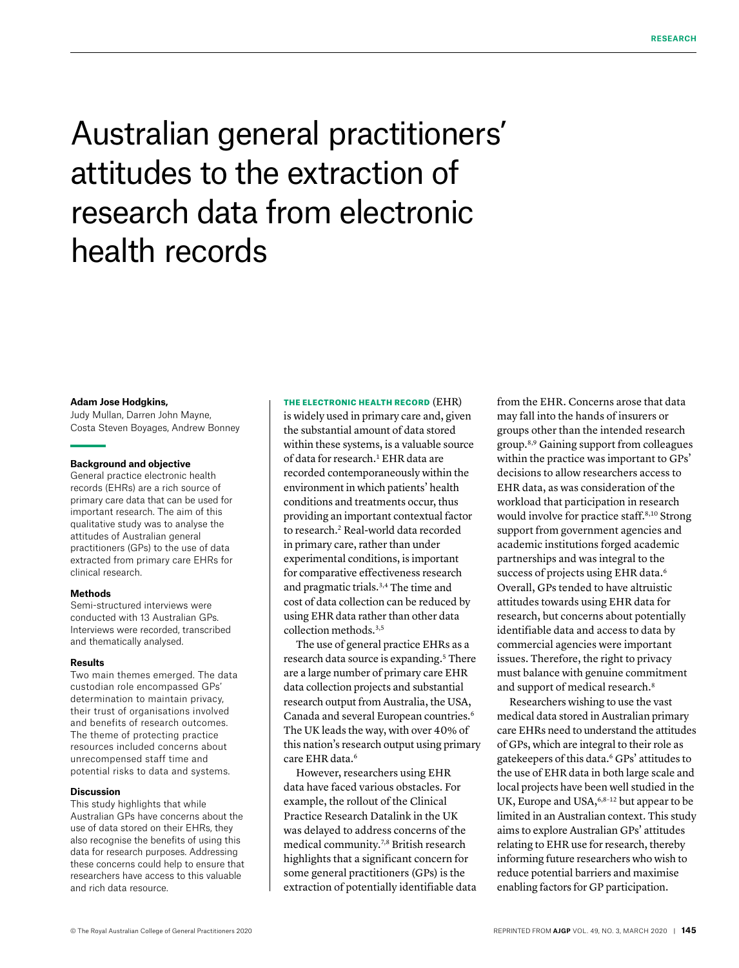# Australian general practitioners' attitudes to the extraction of research data from electronic health records

#### **Adam Jose Hodgkins,**

Judy Mullan, Darren John Mayne, Costa Steven Boyages, Andrew Bonney

#### **Background and objective**

General practice electronic health records (EHRs) are a rich source of primary care data that can be used for important research. The aim of this qualitative study was to analyse the attitudes of Australian general practitioners (GPs) to the use of data extracted from primary care EHRs for clinical research.

#### **Methods**

Semi-structured interviews were conducted with 13 Australian GPs. Interviews were recorded, transcribed and thematically analysed.

#### **Results**

Two main themes emerged. The data custodian role encompassed GPs' determination to maintain privacy, their trust of organisations involved and benefits of research outcomes. The theme of protecting practice resources included concerns about unrecompensed staff time and potential risks to data and systems.

#### **Discussion**

This study highlights that while Australian GPs have concerns about the use of data stored on their EHRs, they also recognise the benefits of using this data for research purposes. Addressing these concerns could help to ensure that researchers have access to this valuable and rich data resource.

THE ELECTRONIC HEALTH RECORD (EHR) is widely used in primary care and, given the substantial amount of data stored within these systems, is a valuable source of data for research.<sup>1</sup> EHR data are recorded contemporaneously within the environment in which patients' health conditions and treatments occur, thus providing an important contextual factor to research.<sup>2</sup> Real-world data recorded in primary care, rather than under experimental conditions, is important for comparative effectiveness research and pragmatic trials.3,4 The time and cost of data collection can be reduced by using EHR data rather than other data collection methods.<sup>3,5</sup>

The use of general practice EHRs as a research data source is expanding.<sup>5</sup> There are a large number of primary care EHR data collection projects and substantial research output from Australia, the USA, Canada and several European countries.6 The UK leads the way, with over 40% of this nation's research output using primary care EHR data.<sup>6</sup>

However, researchers using EHR data have faced various obstacles. For example, the rollout of the Clinical Practice Research Datalink in the UK was delayed to address concerns of the medical community.7,8 British research highlights that a significant concern for some general practitioners (GPs) is the extraction of potentially identifiable data from the EHR. Concerns arose that data may fall into the hands of insurers or groups other than the intended research group.8,9 Gaining support from colleagues within the practice was important to GPs' decisions to allow researchers access to EHR data, as was consideration of the workload that participation in research would involve for practice staff.<sup>8,10</sup> Strong support from government agencies and academic institutions forged academic partnerships and was integral to the success of projects using EHR data.<sup>6</sup> Overall, GPs tended to have altruistic attitudes towards using EHR data for research, but concerns about potentially identifiable data and access to data by commercial agencies were important issues. Therefore, the right to privacy must balance with genuine commitment and support of medical research.<sup>8</sup>

Researchers wishing to use the vast medical data stored in Australian primary care EHRs need to understand the attitudes of GPs, which are integral to their role as gatekeepers of this data.6 GPs' attitudes to the use of EHR data in both large scale and local projects have been well studied in the UK, Europe and USA, 6,8-12 but appear to be limited in an Australian context. This study aims to explore Australian GPs' attitudes relating to EHR use for research, thereby informing future researchers who wish to reduce potential barriers and maximise enabling factors for GP participation.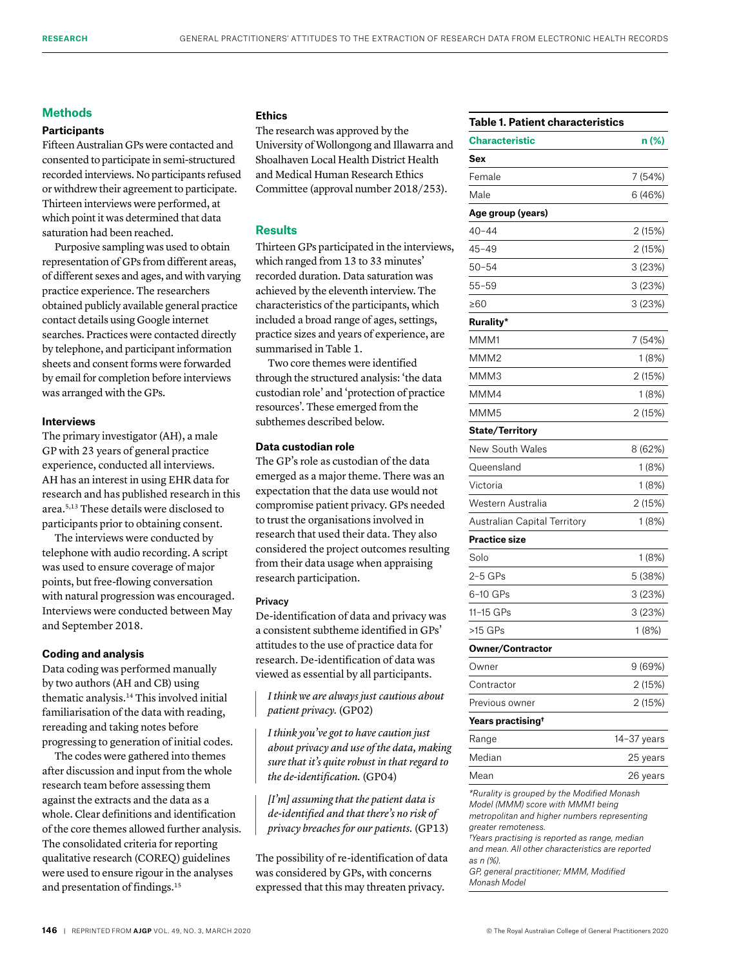## **Methods**

# **Participants**

Fifteen Australian GPs were contacted and consented to participate in semi-structured recorded interviews. No participants refused or withdrew their agreement to participate. Thirteen interviews were performed, at which point it was determined that data saturation had been reached.

Purposive sampling was used to obtain representation of GPs from different areas, of different sexes and ages, and with varying practice experience. The researchers obtained publicly available general practice contact details using Google internet searches. Practices were contacted directly by telephone, and participant information sheets and consent forms were forwarded by email for completion before interviews was arranged with the GPs.

## **Interviews**

The primary investigator (AH), a male GP with 23 years of general practice experience, conducted all interviews. AH has an interest in using EHR data for research and has published research in this area.5,13 These details were disclosed to participants prior to obtaining consent.

The interviews were conducted by telephone with audio recording. A script was used to ensure coverage of major points, but free-flowing conversation with natural progression was encouraged. Interviews were conducted between May and September 2018.

## **Coding and analysis**

Data coding was performed manually by two authors (AH and CB) using thematic analysis.14 This involved initial familiarisation of the data with reading, rereading and taking notes before progressing to generation of initial codes.

The codes were gathered into themes after discussion and input from the whole research team before assessing them against the extracts and the data as a whole. Clear definitions and identification of the core themes allowed further analysis. The consolidated criteria for reporting qualitative research (COREQ) guidelines were used to ensure rigour in the analyses and presentation of findings.15

# **Ethics**

The research was approved by the University of Wollongong and Illawarra and Shoalhaven Local Health District Health and Medical Human Research Ethics Committee (approval number 2018/253).

# **Results**

Thirteen GPs participated in the interviews, which ranged from 13 to 33 minutes' recorded duration. Data saturation was achieved by the eleventh interview. The characteristics of the participants, which included a broad range of ages, settings, practice sizes and years of experience, are summarised in Table 1.

Two core themes were identified through the structured analysis: 'the data custodian role' and 'protection of practice resources'. These emerged from the subthemes described below.

## **Data custodian role**

The GP's role as custodian of the data emerged as a major theme. There was an expectation that the data use would not compromise patient privacy. GPs needed to trust the organisations involved in research that used their data. They also considered the project outcomes resulting from their data usage when appraising research participation.

### Privacy

De-identification of data and privacy was a consistent subtheme identified in GPs' attitudes to the use of practice data for research. De-identification of data was viewed as essential by all participants.

*I think we are always just cautious about patient privacy.* (GP02)

*I think you've got to have caution just about privacy and use of the data, making sure that it's quite robust in that regard to the de-identification.* (GP04)

*[I'm] assuming that the patient data is de-identified and that there's no risk of privacy breaches for our patients.* (GP13)

The possibility of re-identification of data was considered by GPs, with concerns expressed that this may threaten privacy.

# **Table 1. Patient characteristics**

| <b>Characteristic</b>                                                                                                                                   | n (%)       |
|---------------------------------------------------------------------------------------------------------------------------------------------------------|-------------|
| Sex                                                                                                                                                     |             |
| Female                                                                                                                                                  | 7 (54%)     |
| Male                                                                                                                                                    | 6 (46%)     |
| Age group (years)                                                                                                                                       |             |
| 40-44                                                                                                                                                   | 2 (15%)     |
| 45-49                                                                                                                                                   | 2 (15%)     |
| 50-54                                                                                                                                                   | 3 (23%)     |
| 55–59                                                                                                                                                   | 3 (23%)     |
| ≥60                                                                                                                                                     | 3 (23%)     |
| <b>Rurality*</b>                                                                                                                                        |             |
| MMM1                                                                                                                                                    | 7 (54%)     |
| MMM2                                                                                                                                                    | 1 (8%)      |
| МММЗ                                                                                                                                                    | 2 (15%)     |
| MMM4                                                                                                                                                    | 1 (8%)      |
| MMM5                                                                                                                                                    | 2 (15%)     |
| <b>State/Territory</b>                                                                                                                                  |             |
| New South Wales                                                                                                                                         | 8 (62%)     |
| Queensland                                                                                                                                              | 1 (8%)      |
| Victoria                                                                                                                                                | 1 (8%)      |
| Western Australia                                                                                                                                       | 2 (15%)     |
| Australian Capital Territory                                                                                                                            | 1 (8%)      |
| Practice size                                                                                                                                           |             |
| Solo                                                                                                                                                    | 1 (8%)      |
| 2-5 GPs                                                                                                                                                 | 5 (38%)     |
| 6-10 GPs                                                                                                                                                | 3 (23%)     |
| 11-15 GPs                                                                                                                                               | 3(23%)      |
| >15 GPs                                                                                                                                                 | 1 (8%)      |
| <b>Owner/Contractor</b>                                                                                                                                 |             |
| Owner                                                                                                                                                   | 9 (69%)     |
| Contractor                                                                                                                                              | 2 (15%)     |
| Previous owner                                                                                                                                          | 2 (15%)     |
| Years practising†                                                                                                                                       |             |
| Range                                                                                                                                                   | 14-37 years |
| Median                                                                                                                                                  | 25 years    |
| Mean                                                                                                                                                    | 26 years    |
| *Rurality is grouped by the Modified Monash<br>Model (MMM) score with MMM1 being<br>metropolitan and higher numbers representing<br>greater remoteness. |             |

*†Years practising is reported as range, median and mean. All other characteristics are reported as n (%).* 

*GP, general practitioner; MMM, Modified Monash Model*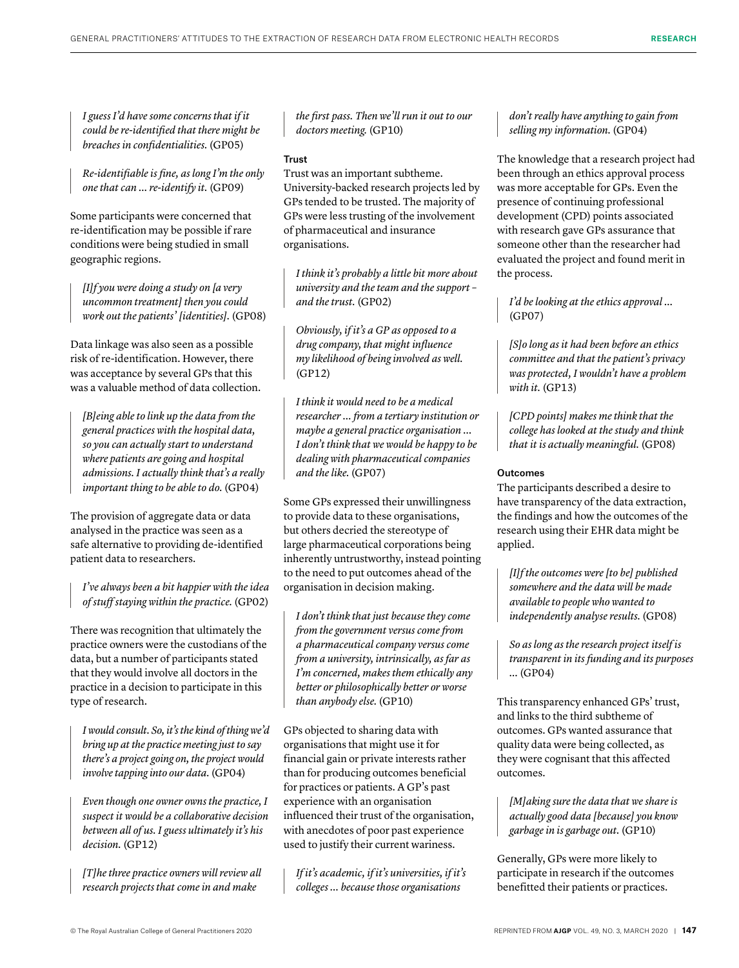*I guess I'd have some concerns that if it could be re-identified that there might be breaches in confidentialities.* (GP05)

*Re-identifiable is fine, as long I'm the only one that can … re-identify it.* (GP09)

Some participants were concerned that re-identification may be possible if rare conditions were being studied in small geographic regions.

*[I]f you were doing a study on [a very uncommon treatment] then you could work out the patients' [identities].* (GP08)

Data linkage was also seen as a possible risk of re-identification. However, there was acceptance by several GPs that this was a valuable method of data collection.

*[B]eing able to link up the data from the general practices with the hospital data, so you can actually start to understand where patients are going and hospital admissions. I actually think that's a really important thing to be able to do.* (GP04)

The provision of aggregate data or data analysed in the practice was seen as a safe alternative to providing de-identified patient data to researchers.

*I've always been a bit happier with the idea of stuff staying within the practice.* (GP02)

There was recognition that ultimately the practice owners were the custodians of the data, but a number of participants stated that they would involve all doctors in the practice in a decision to participate in this type of research.

*I would consult. So, it's the kind of thing we'd bring up at the practice meeting just to say there's a project going on, the project would involve tapping into our data.* (GP04)

*Even though one owner owns the practice, I suspect it would be a collaborative decision between all of us. I guess ultimately it's his decision.* (GP12)

*[T]he three practice owners will review all research projects that come in and make* 

*the first pass. Then we'll run it out to our doctors meeting.* (GP10)

## Trust

Trust was an important subtheme. University-backed research projects led by GPs tended to be trusted. The majority of GPs were less trusting of the involvement of pharmaceutical and insurance organisations.

*I think it's probably a little bit more about university and the team and the support – and the trust.* (GP02)

*Obviously, if it's a GP as opposed to a drug company, that might influence my likelihood of being involved as well.*  (GP12)

*I think it would need to be a medical researcher … from a tertiary institution or maybe a general practice organisation … I don't think that we would be happy to be dealing with pharmaceutical companies and the like.* (GP07)

Some GPs expressed their unwillingness to provide data to these organisations, but others decried the stereotype of large pharmaceutical corporations being inherently untrustworthy, instead pointing to the need to put outcomes ahead of the organisation in decision making.

*I don't think that just because they come from the government versus come from a pharmaceutical company versus come from a university, intrinsically, as far as I'm concerned, makes them ethically any better or philosophically better or worse than anybody else.* (GP10)

GPs objected to sharing data with organisations that might use it for financial gain or private interests rather than for producing outcomes beneficial for practices or patients. A GP's past experience with an organisation influenced their trust of the organisation, with anecdotes of poor past experience used to justify their current wariness.

*If it's academic, if it's universities, if it's colleges … because those organisations* 

*don't really have anything to gain from selling my information.* (GP04)

The knowledge that a research project had been through an ethics approval process was more acceptable for GPs. Even the presence of continuing professional development (CPD) points associated with research gave GPs assurance that someone other than the researcher had evaluated the project and found merit in the process.

*I'd be looking at the ethics approval …* (GP07)

*[S]o long as it had been before an ethics committee and that the patient's privacy was protected, I wouldn't have a problem with it.* (GP13)

*[CPD points] makes me think that the college has looked at the study and think that it is actually meaningful.* (GP08)

## Outcomes

The participants described a desire to have transparency of the data extraction, the findings and how the outcomes of the research using their EHR data might be applied.

*[I]f the outcomes were [to be] published somewhere and the data will be made available to people who wanted to independently analyse results.* (GP08)

*So as long as the research project itself is transparent in its funding and its purposes …* (GP04)

This transparency enhanced GPs' trust, and links to the third subtheme of outcomes. GPs wanted assurance that quality data were being collected, as they were cognisant that this affected outcomes.

*[M]aking sure the data that we share is actually good data [because] you know garbage in is garbage out.* (GP10)

Generally, GPs were more likely to participate in research if the outcomes benefitted their patients or practices.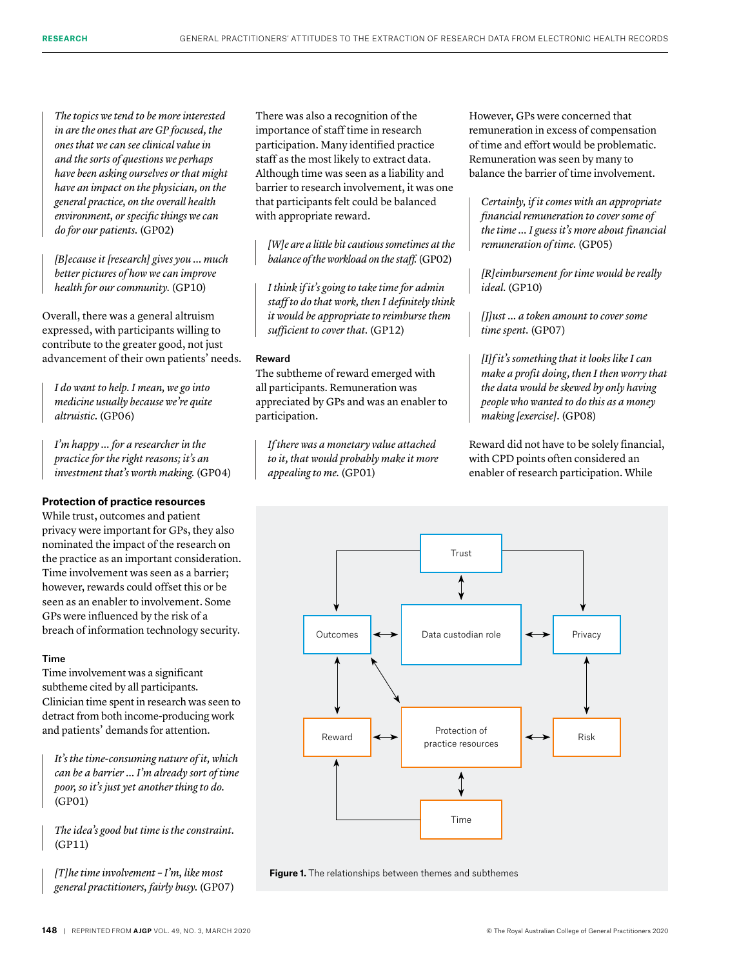*The topics we tend to be more interested in are the ones that are GP focused, the ones that we can see clinical value in and the sorts of questions we perhaps have been asking ourselves or that might have an impact on the physician, on the general practice, on the overall health environment, or specific things we can do for our patients.* (GP02)

*[B]ecause it [research] gives you … much better pictures of how we can improve health for our community.* (GP10)

Overall, there was a general altruism expressed, with participants willing to contribute to the greater good, not just advancement of their own patients' needs.

*I do want to help. I mean, we go into medicine usually because we're quite altruistic.* (GP06)

*I'm happy … for a researcher in the practice for the right reasons; it's an investment that's worth making.* (GP04)

# **Protection of practice resources**

While trust, outcomes and patient privacy were important for GPs, they also nominated the impact of the research on the practice as an important consideration. Time involvement was seen as a barrier; however, rewards could offset this or be seen as an enabler to involvement. Some GPs were influenced by the risk of a breach of information technology security.

## Time

Time involvement was a significant subtheme cited by all participants. Clinician time spent in research was seen to detract from both income-producing work and patients' demands for attention.

*It's the time-consuming nature of it, which can be a barrier … I'm already sort of time poor, so it's just yet another thing to do.* (GP01)

*The idea's good but time is the constraint.*  (GP11)

*[T]he time involvement – I'm, like most general practitioners, fairly busy.* (GP07) There was also a recognition of the importance of staff time in research participation. Many identified practice staff as the most likely to extract data. Although time was seen as a liability and barrier to research involvement, it was one that participants felt could be balanced with appropriate reward.

*[W]e are a little bit cautious sometimes at the balance of the workload on the staff.* (GP02)

*I think if it's going to take time for admin staff to do that work, then I definitely think it would be appropriate to reimburse them sufficient to cover that.* (GP12)

## Reward

The subtheme of reward emerged with all participants. Remuneration was appreciated by GPs and was an enabler to participation.

*If there was a monetary value attached to it, that would probably make it more appealing to me.* (GP01)

However, GPs were concerned that remuneration in excess of compensation of time and effort would be problematic. Remuneration was seen by many to balance the barrier of time involvement.

*Certainly, if it comes with an appropriate financial remuneration to cover some of the time … I guess it's more about financial remuneration of time.* (GP05)

*[R]eimbursement for time would be really ideal.* (GP10)

*[J]ust … a token amount to cover some time spent.* (GP07)

*[I]f it's something that it looks like I can make a profit doing, then I then worry that the data would be skewed by only having people who wanted to do this as a money making [exercise].* (GP08)

Reward did not have to be solely financial, with CPD points often considered an enabler of research participation. While



**Figure 1.** The relationships between themes and subthemes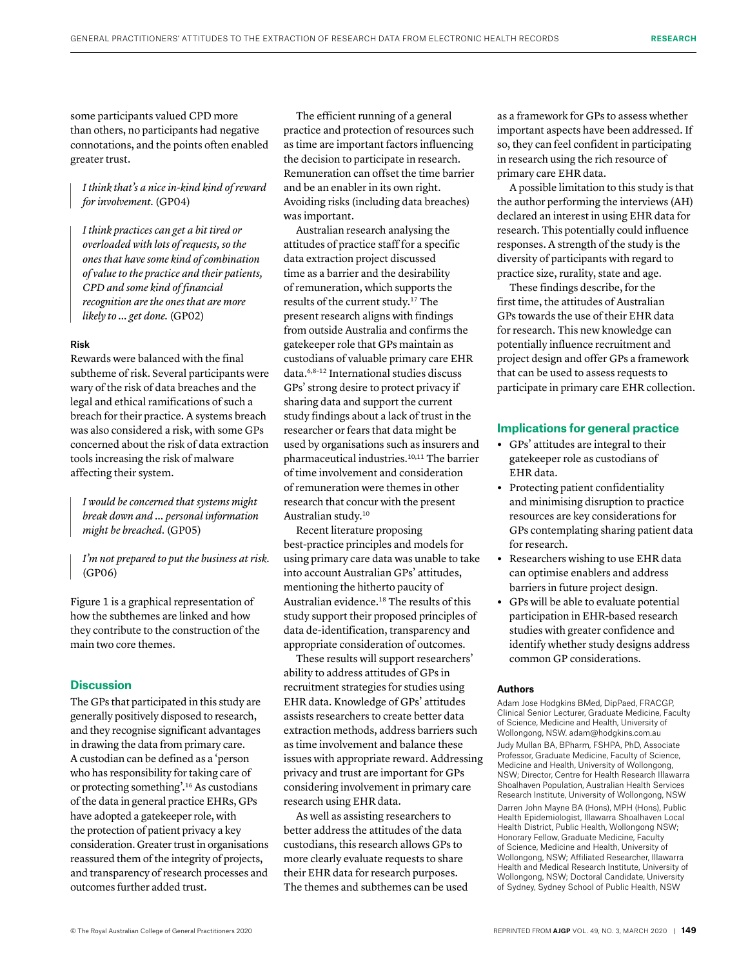some participants valued CPD more than others, no participants had negative connotations, and the points often enabled greater trust.

*I think that's a nice in-kind kind of reward for involvement.* (GP04)

*I think practices can get a bit tired or overloaded with lots of requests, so the ones that have some kind of combination of value to the practice and their patients, CPD and some kind of financial recognition are the ones that are more likely to … get done.* (GP02)

## Risk

Rewards were balanced with the final subtheme of risk. Several participants were wary of the risk of data breaches and the legal and ethical ramifications of such a breach for their practice. A systems breach was also considered a risk, with some GPs concerned about the risk of data extraction tools increasing the risk of malware affecting their system.

*I would be concerned that systems might break down and … personal information might be breached.* (GP05)

*I'm not prepared to put the business at risk.*  (GP06)

Figure 1 is a graphical representation of how the subthemes are linked and how they contribute to the construction of the main two core themes.

# **Discussion**

The GPs that participated in this study are generally positively disposed to research, and they recognise significant advantages in drawing the data from primary care. A custodian can be defined as a 'person who has responsibility for taking care of or protecting something'.16 As custodians of the data in general practice EHRs, GPs have adopted a gatekeeper role, with the protection of patient privacy a key consideration. Greater trust in organisations reassured them of the integrity of projects, and transparency of research processes and outcomes further added trust.

The efficient running of a general practice and protection of resources such as time are important factors influencing the decision to participate in research. Remuneration can offset the time barrier and be an enabler in its own right. Avoiding risks (including data breaches) was important.

Australian research analysing the attitudes of practice staff for a specific data extraction project discussed time as a barrier and the desirability of remuneration, which supports the results of the current study.17 The present research aligns with findings from outside Australia and confirms the gatekeeper role that GPs maintain as custodians of valuable primary care EHR data.6,8–12 International studies discuss GPs' strong desire to protect privacy if sharing data and support the current study findings about a lack of trust in the researcher or fears that data might be used by organisations such as insurers and pharmaceutical industries.10,11 The barrier of time involvement and consideration of remuneration were themes in other research that concur with the present Australian study.10

Recent literature proposing best-practice principles and models for using primary care data was unable to take into account Australian GPs' attitudes, mentioning the hitherto paucity of Australian evidence.18 The results of this study support their proposed principles of data de-identification, transparency and appropriate consideration of outcomes.

These results will support researchers' ability to address attitudes of GPs in recruitment strategies for studies using EHR data. Knowledge of GPs' attitudes assists researchers to create better data extraction methods, address barriers such as time involvement and balance these issues with appropriate reward. Addressing privacy and trust are important for GPs considering involvement in primary care research using EHR data.

As well as assisting researchers to better address the attitudes of the data custodians, this research allows GPs to more clearly evaluate requests to share their EHR data for research purposes. The themes and subthemes can be used as a framework for GPs to assess whether important aspects have been addressed. If so, they can feel confident in participating in research using the rich resource of primary care EHR data.

A possible limitation to this study is that the author performing the interviews (AH) declared an interest in using EHR data for research. This potentially could influence responses. A strength of the study is the diversity of participants with regard to practice size, rurality, state and age.

These findings describe, for the first time, the attitudes of Australian GPs towards the use of their EHR data for research. This new knowledge can potentially influence recruitment and project design and offer GPs a framework that can be used to assess requests to participate in primary care EHR collection.

## **Implications for general practice**

- **•** GPs' attitudes are integral to their gatekeeper role as custodians of EHR data.
- **•** Protecting patient confidentiality and minimising disruption to practice resources are key considerations for GPs contemplating sharing patient data for research.
- **•** Researchers wishing to use EHR data can optimise enablers and address barriers in future project design.
- **•** GPs will be able to evaluate potential participation in EHR-based research studies with greater confidence and identify whether study designs address common GP considerations.

## **Authors**

Adam Jose Hodgkins BMed, DipPaed, FRACGP, Clinical Senior Lecturer, Graduate Medicine, Faculty of Science, Medicine and Health, University of Wollongong, NSW. adam@hodgkins.com.au Judy Mullan BA, BPharm, FSHPA, PhD, Associate Professor, Graduate Medicine, Faculty of Science, Medicine and Health, University of Wollongong, NSW; Director, Centre for Health Research Illawarra Shoalhaven Population, Australian Health Services Research Institute, University of Wollongong, NSW Darren John Mayne BA (Hons), MPH (Hons), Public Health Epidemiologist, Illawarra Shoalhaven Local Health District, Public Health, Wollongong NSW; Honorary Fellow, Graduate Medicine, Faculty of Science, Medicine and Health, University of Wollongong, NSW; Affiliated Researcher, Illawarra Health and Medical Research Institute, University of Wollongong, NSW; Doctoral Candidate, University

of Sydney, Sydney School of Public Health, NSW